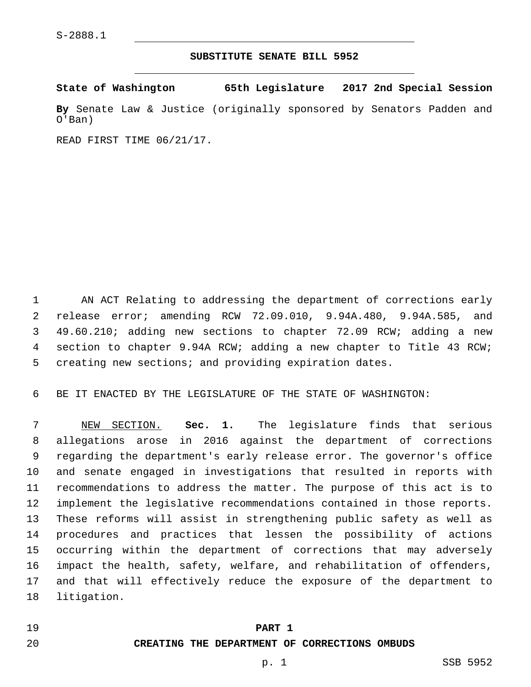#### **SUBSTITUTE SENATE BILL 5952**

**State of Washington 65th Legislature 2017 2nd Special Session**

**By** Senate Law & Justice (originally sponsored by Senators Padden and O'Ban)

READ FIRST TIME 06/21/17.

 AN ACT Relating to addressing the department of corrections early release error; amending RCW 72.09.010, 9.94A.480, 9.94A.585, and 49.60.210; adding new sections to chapter 72.09 RCW; adding a new section to chapter 9.94A RCW; adding a new chapter to Title 43 RCW; creating new sections; and providing expiration dates.

BE IT ENACTED BY THE LEGISLATURE OF THE STATE OF WASHINGTON:

 NEW SECTION. **Sec. 1.** The legislature finds that serious allegations arose in 2016 against the department of corrections regarding the department's early release error. The governor's office and senate engaged in investigations that resulted in reports with recommendations to address the matter. The purpose of this act is to implement the legislative recommendations contained in those reports. These reforms will assist in strengthening public safety as well as procedures and practices that lessen the possibility of actions occurring within the department of corrections that may adversely impact the health, safety, welfare, and rehabilitation of offenders, and that will effectively reduce the exposure of the department to 18 litigation.

#### **PART 1**

#### **CREATING THE DEPARTMENT OF CORRECTIONS OMBUDS**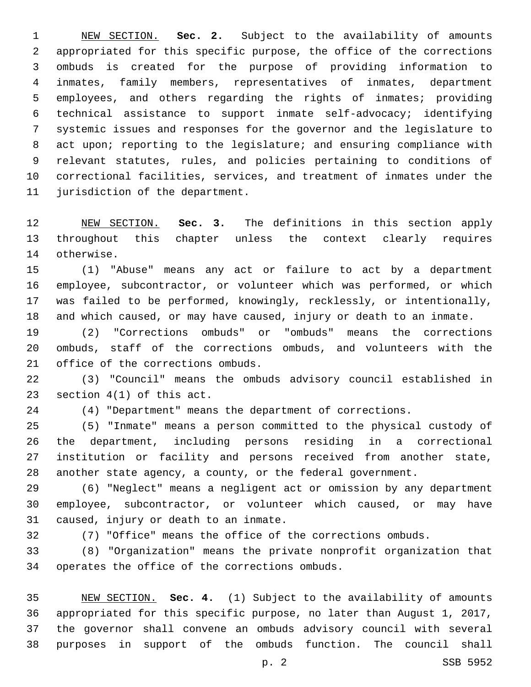NEW SECTION. **Sec. 2.** Subject to the availability of amounts appropriated for this specific purpose, the office of the corrections ombuds is created for the purpose of providing information to inmates, family members, representatives of inmates, department employees, and others regarding the rights of inmates; providing technical assistance to support inmate self-advocacy; identifying systemic issues and responses for the governor and the legislature to 8 act upon; reporting to the legislature; and ensuring compliance with relevant statutes, rules, and policies pertaining to conditions of correctional facilities, services, and treatment of inmates under the jurisdiction of the department.

 NEW SECTION. **Sec. 3.** The definitions in this section apply throughout this chapter unless the context clearly requires otherwise.

 (1) "Abuse" means any act or failure to act by a department employee, subcontractor, or volunteer which was performed, or which was failed to be performed, knowingly, recklessly, or intentionally, and which caused, or may have caused, injury or death to an inmate.

 (2) "Corrections ombuds" or "ombuds" means the corrections ombuds, staff of the corrections ombuds, and volunteers with the 21 office of the corrections ombuds.

 (3) "Council" means the ombuds advisory council established in 23 section  $4(1)$  of this act.

(4) "Department" means the department of corrections.

 (5) "Inmate" means a person committed to the physical custody of the department, including persons residing in a correctional institution or facility and persons received from another state, another state agency, a county, or the federal government.

 (6) "Neglect" means a negligent act or omission by any department employee, subcontractor, or volunteer which caused, or may have 31 caused, injury or death to an inmate.

(7) "Office" means the office of the corrections ombuds.

 (8) "Organization" means the private nonprofit organization that 34 operates the office of the corrections ombuds.

 NEW SECTION. **Sec. 4.** (1) Subject to the availability of amounts appropriated for this specific purpose, no later than August 1, 2017, the governor shall convene an ombuds advisory council with several purposes in support of the ombuds function. The council shall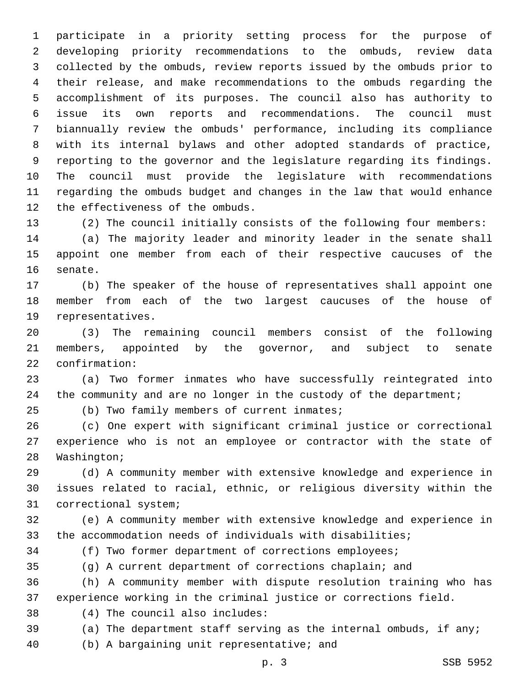participate in a priority setting process for the purpose of developing priority recommendations to the ombuds, review data collected by the ombuds, review reports issued by the ombuds prior to their release, and make recommendations to the ombuds regarding the accomplishment of its purposes. The council also has authority to issue its own reports and recommendations. The council must biannually review the ombuds' performance, including its compliance with its internal bylaws and other adopted standards of practice, reporting to the governor and the legislature regarding its findings. The council must provide the legislature with recommendations regarding the ombuds budget and changes in the law that would enhance 12 the effectiveness of the ombuds.

 (2) The council initially consists of the following four members: (a) The majority leader and minority leader in the senate shall appoint one member from each of their respective caucuses of the 16 senate.

 (b) The speaker of the house of representatives shall appoint one member from each of the two largest caucuses of the house of 19 representatives.

 (3) The remaining council members consist of the following members, appointed by the governor, and subject to senate 22 confirmation:

 (a) Two former inmates who have successfully reintegrated into 24 the community and are no longer in the custody of the department;

(b) Two family members of current inmates;

 (c) One expert with significant criminal justice or correctional experience who is not an employee or contractor with the state of 28 Washington;

 (d) A community member with extensive knowledge and experience in issues related to racial, ethnic, or religious diversity within the 31 correctional system;

 (e) A community member with extensive knowledge and experience in the accommodation needs of individuals with disabilities;

(f) Two former department of corrections employees;

(g) A current department of corrections chaplain; and

 (h) A community member with dispute resolution training who has experience working in the criminal justice or corrections field.

(4) The council also includes:38

(a) The department staff serving as the internal ombuds, if any;

40 (b) A bargaining unit representative; and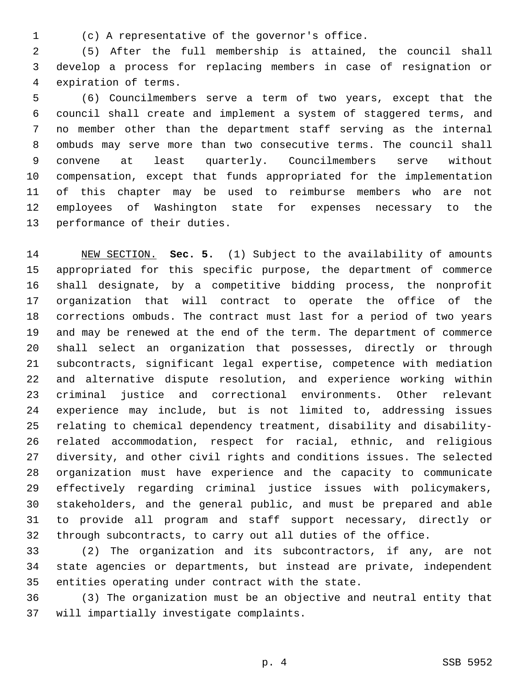(c) A representative of the governor's office.1

 (5) After the full membership is attained, the council shall develop a process for replacing members in case of resignation or 4 expiration of terms.

 (6) Councilmembers serve a term of two years, except that the council shall create and implement a system of staggered terms, and no member other than the department staff serving as the internal ombuds may serve more than two consecutive terms. The council shall convene at least quarterly. Councilmembers serve without compensation, except that funds appropriated for the implementation of this chapter may be used to reimburse members who are not employees of Washington state for expenses necessary to the 13 performance of their duties.

 NEW SECTION. **Sec. 5.** (1) Subject to the availability of amounts appropriated for this specific purpose, the department of commerce shall designate, by a competitive bidding process, the nonprofit organization that will contract to operate the office of the corrections ombuds. The contract must last for a period of two years and may be renewed at the end of the term. The department of commerce shall select an organization that possesses, directly or through subcontracts, significant legal expertise, competence with mediation and alternative dispute resolution, and experience working within criminal justice and correctional environments. Other relevant experience may include, but is not limited to, addressing issues relating to chemical dependency treatment, disability and disability- related accommodation, respect for racial, ethnic, and religious diversity, and other civil rights and conditions issues. The selected organization must have experience and the capacity to communicate effectively regarding criminal justice issues with policymakers, stakeholders, and the general public, and must be prepared and able to provide all program and staff support necessary, directly or through subcontracts, to carry out all duties of the office.

 (2) The organization and its subcontractors, if any, are not state agencies or departments, but instead are private, independent 35 entities operating under contract with the state.

 (3) The organization must be an objective and neutral entity that 37 will impartially investigate complaints.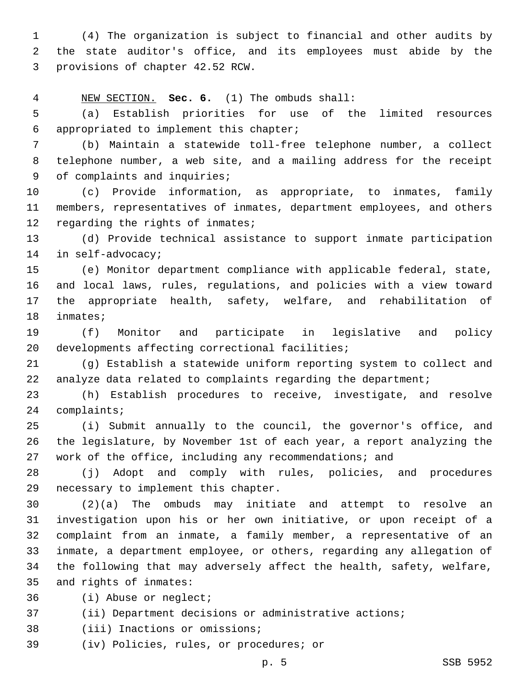(4) The organization is subject to financial and other audits by the state auditor's office, and its employees must abide by the 3 provisions of chapter 42.52 RCW.

NEW SECTION. **Sec. 6.** (1) The ombuds shall:

 (a) Establish priorities for use of the limited resources appropriated to implement this chapter;6

 (b) Maintain a statewide toll-free telephone number, a collect telephone number, a web site, and a mailing address for the receipt 9 of complaints and inquiries;

 (c) Provide information, as appropriate, to inmates, family members, representatives of inmates, department employees, and others 12 regarding the rights of inmates;

 (d) Provide technical assistance to support inmate participation 14 in self-advocacy;

 (e) Monitor department compliance with applicable federal, state, and local laws, rules, regulations, and policies with a view toward the appropriate health, safety, welfare, and rehabilitation of 18 inmates;

 (f) Monitor and participate in legislative and policy 20 developments affecting correctional facilities;

 (g) Establish a statewide uniform reporting system to collect and analyze data related to complaints regarding the department;

 (h) Establish procedures to receive, investigate, and resolve 24 complaints;

 (i) Submit annually to the council, the governor's office, and the legislature, by November 1st of each year, a report analyzing the work of the office, including any recommendations; and

 (j) Adopt and comply with rules, policies, and procedures 29 necessary to implement this chapter.

 (2)(a) The ombuds may initiate and attempt to resolve an investigation upon his or her own initiative, or upon receipt of a complaint from an inmate, a family member, a representative of an inmate, a department employee, or others, regarding any allegation of the following that may adversely affect the health, safety, welfare, 35 and rights of inmates:

36 (i) Abuse or neglect;

(ii) Department decisions or administrative actions;

38 (iii) Inactions or omissions;

39 (iv) Policies, rules, or procedures; or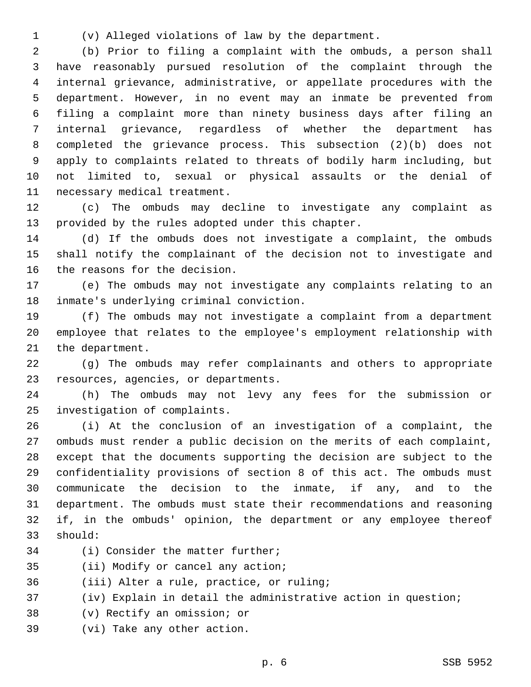(v) Alleged violations of law by the department.

 (b) Prior to filing a complaint with the ombuds, a person shall have reasonably pursued resolution of the complaint through the internal grievance, administrative, or appellate procedures with the department. However, in no event may an inmate be prevented from filing a complaint more than ninety business days after filing an internal grievance, regardless of whether the department has completed the grievance process. This subsection (2)(b) does not apply to complaints related to threats of bodily harm including, but not limited to, sexual or physical assaults or the denial of 11 necessary medical treatment.

 (c) The ombuds may decline to investigate any complaint as 13 provided by the rules adopted under this chapter.

 (d) If the ombuds does not investigate a complaint, the ombuds shall notify the complainant of the decision not to investigate and 16 the reasons for the decision.

 (e) The ombuds may not investigate any complaints relating to an 18 inmate's underlying criminal conviction.

 (f) The ombuds may not investigate a complaint from a department employee that relates to the employee's employment relationship with 21 the department.

 (g) The ombuds may refer complainants and others to appropriate 23 resources, agencies, or departments.

 (h) The ombuds may not levy any fees for the submission or 25 investigation of complaints.

 (i) At the conclusion of an investigation of a complaint, the ombuds must render a public decision on the merits of each complaint, except that the documents supporting the decision are subject to the confidentiality provisions of section 8 of this act. The ombuds must communicate the decision to the inmate, if any, and to the department. The ombuds must state their recommendations and reasoning if, in the ombuds' opinion, the department or any employee thereof 33 should:

34 (i) Consider the matter further;

35 (ii) Modify or cancel any action;

36 (iii) Alter a rule, practice, or ruling;

(iv) Explain in detail the administrative action in question;

- 38 (v) Rectify an omission; or
- 39 (vi) Take any other action.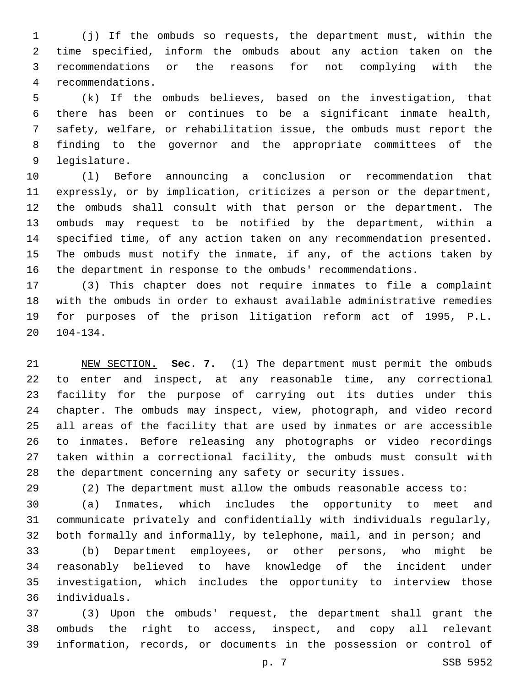(j) If the ombuds so requests, the department must, within the time specified, inform the ombuds about any action taken on the recommendations or the reasons for not complying with the recommendations.4

 (k) If the ombuds believes, based on the investigation, that there has been or continues to be a significant inmate health, safety, welfare, or rehabilitation issue, the ombuds must report the finding to the governor and the appropriate committees of the 9 legislature.

 (l) Before announcing a conclusion or recommendation that expressly, or by implication, criticizes a person or the department, the ombuds shall consult with that person or the department. The ombuds may request to be notified by the department, within a specified time, of any action taken on any recommendation presented. The ombuds must notify the inmate, if any, of the actions taken by the department in response to the ombuds' recommendations.

 (3) This chapter does not require inmates to file a complaint with the ombuds in order to exhaust available administrative remedies for purposes of the prison litigation reform act of 1995, P.L. 104-134.

 NEW SECTION. **Sec. 7.** (1) The department must permit the ombuds to enter and inspect, at any reasonable time, any correctional facility for the purpose of carrying out its duties under this chapter. The ombuds may inspect, view, photograph, and video record all areas of the facility that are used by inmates or are accessible to inmates. Before releasing any photographs or video recordings taken within a correctional facility, the ombuds must consult with the department concerning any safety or security issues.

(2) The department must allow the ombuds reasonable access to:

 (a) Inmates, which includes the opportunity to meet and communicate privately and confidentially with individuals regularly, both formally and informally, by telephone, mail, and in person; and

 (b) Department employees, or other persons, who might be reasonably believed to have knowledge of the incident under investigation, which includes the opportunity to interview those individuals.36

 (3) Upon the ombuds' request, the department shall grant the ombuds the right to access, inspect, and copy all relevant information, records, or documents in the possession or control of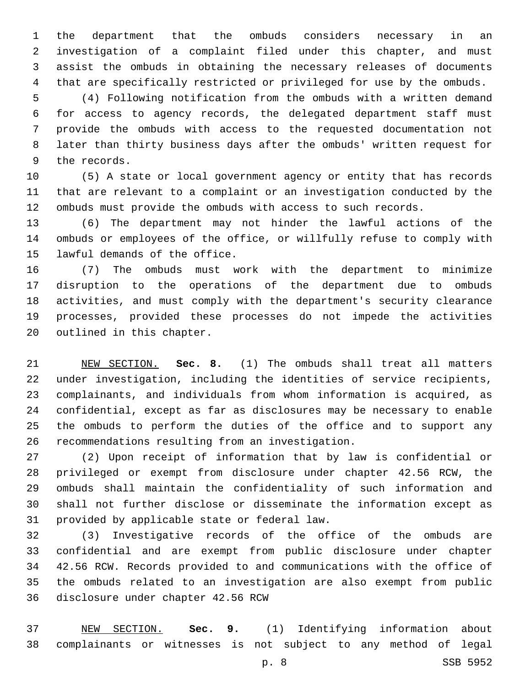the department that the ombuds considers necessary in an investigation of a complaint filed under this chapter, and must assist the ombuds in obtaining the necessary releases of documents that are specifically restricted or privileged for use by the ombuds.

 (4) Following notification from the ombuds with a written demand for access to agency records, the delegated department staff must provide the ombuds with access to the requested documentation not later than thirty business days after the ombuds' written request for 9 the records.

 (5) A state or local government agency or entity that has records that are relevant to a complaint or an investigation conducted by the ombuds must provide the ombuds with access to such records.

 (6) The department may not hinder the lawful actions of the ombuds or employees of the office, or willfully refuse to comply with 15 lawful demands of the office.

 (7) The ombuds must work with the department to minimize disruption to the operations of the department due to ombuds activities, and must comply with the department's security clearance processes, provided these processes do not impede the activities 20 outlined in this chapter.

 NEW SECTION. **Sec. 8.** (1) The ombuds shall treat all matters under investigation, including the identities of service recipients, complainants, and individuals from whom information is acquired, as confidential, except as far as disclosures may be necessary to enable the ombuds to perform the duties of the office and to support any recommendations resulting from an investigation.

 (2) Upon receipt of information that by law is confidential or privileged or exempt from disclosure under chapter 42.56 RCW, the ombuds shall maintain the confidentiality of such information and shall not further disclose or disseminate the information except as 31 provided by applicable state or federal law.

 (3) Investigative records of the office of the ombuds are confidential and are exempt from public disclosure under chapter 42.56 RCW. Records provided to and communications with the office of the ombuds related to an investigation are also exempt from public disclosure under chapter 42.56 RCW

 NEW SECTION. **Sec. 9.** (1) Identifying information about complainants or witnesses is not subject to any method of legal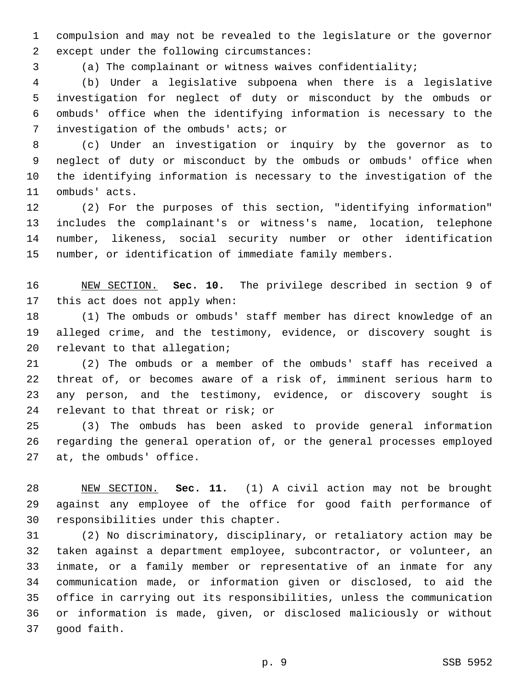compulsion and may not be revealed to the legislature or the governor 2 except under the following circumstances:

(a) The complainant or witness waives confidentiality;

 (b) Under a legislative subpoena when there is a legislative investigation for neglect of duty or misconduct by the ombuds or ombuds' office when the identifying information is necessary to the 7 investigation of the ombuds' acts; or

 (c) Under an investigation or inquiry by the governor as to neglect of duty or misconduct by the ombuds or ombuds' office when the identifying information is necessary to the investigation of the 11 ombuds' acts.

 (2) For the purposes of this section, "identifying information" includes the complainant's or witness's name, location, telephone number, likeness, social security number or other identification number, or identification of immediate family members.

 NEW SECTION. **Sec. 10.** The privilege described in section 9 of this act does not apply when:

 (1) The ombuds or ombuds' staff member has direct knowledge of an alleged crime, and the testimony, evidence, or discovery sought is 20 relevant to that allegation;

 (2) The ombuds or a member of the ombuds' staff has received a threat of, or becomes aware of a risk of, imminent serious harm to any person, and the testimony, evidence, or discovery sought is 24 relevant to that threat or risk; or

 (3) The ombuds has been asked to provide general information regarding the general operation of, or the general processes employed 27 at, the ombuds' office.

 NEW SECTION. **Sec. 11.** (1) A civil action may not be brought against any employee of the office for good faith performance of responsibilities under this chapter.

 (2) No discriminatory, disciplinary, or retaliatory action may be taken against a department employee, subcontractor, or volunteer, an inmate, or a family member or representative of an inmate for any communication made, or information given or disclosed, to aid the office in carrying out its responsibilities, unless the communication or information is made, given, or disclosed maliciously or without 37 good faith.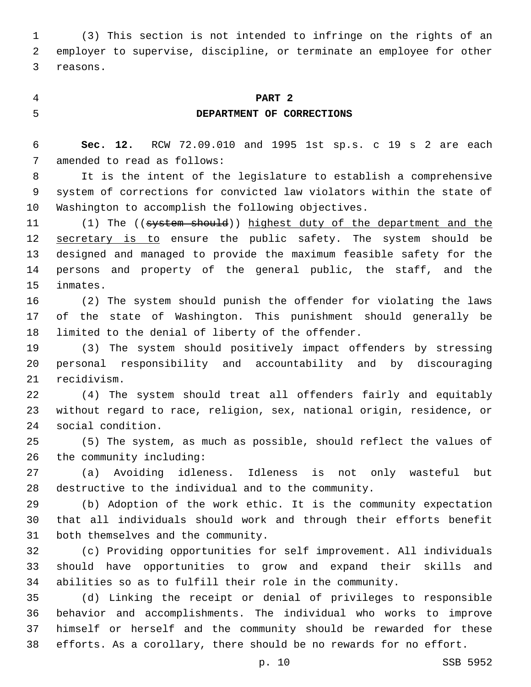(3) This section is not intended to infringe on the rights of an employer to supervise, discipline, or terminate an employee for other 3 reasons.

# **PART 2 DEPARTMENT OF CORRECTIONS**

 **Sec. 12.** RCW 72.09.010 and 1995 1st sp.s. c 19 s 2 are each 7 amended to read as follows:

 It is the intent of the legislature to establish a comprehensive system of corrections for convicted law violators within the state of Washington to accomplish the following objectives.

11 (1) The ((system should)) highest duty of the department and the 12 secretary is to ensure the public safety. The system should be designed and managed to provide the maximum feasible safety for the persons and property of the general public, the staff, and the 15 inmates.

 (2) The system should punish the offender for violating the laws of the state of Washington. This punishment should generally be 18 limited to the denial of liberty of the offender.

 (3) The system should positively impact offenders by stressing personal responsibility and accountability and by discouraging 21 recidivism.

 (4) The system should treat all offenders fairly and equitably without regard to race, religion, sex, national origin, residence, or 24 social condition.

 (5) The system, as much as possible, should reflect the values of 26 the community including:

 (a) Avoiding idleness. Idleness is not only wasteful but destructive to the individual and to the community.

 (b) Adoption of the work ethic. It is the community expectation that all individuals should work and through their efforts benefit 31 both themselves and the community.

 (c) Providing opportunities for self improvement. All individuals should have opportunities to grow and expand their skills and abilities so as to fulfill their role in the community.

 (d) Linking the receipt or denial of privileges to responsible behavior and accomplishments. The individual who works to improve himself or herself and the community should be rewarded for these efforts. As a corollary, there should be no rewards for no effort.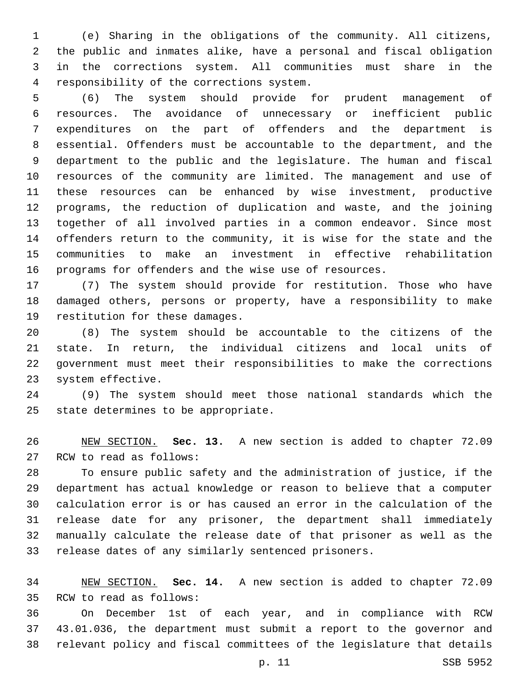(e) Sharing in the obligations of the community. All citizens, the public and inmates alike, have a personal and fiscal obligation in the corrections system. All communities must share in the 4 responsibility of the corrections system.

 (6) The system should provide for prudent management of resources. The avoidance of unnecessary or inefficient public expenditures on the part of offenders and the department is essential. Offenders must be accountable to the department, and the department to the public and the legislature. The human and fiscal resources of the community are limited. The management and use of these resources can be enhanced by wise investment, productive programs, the reduction of duplication and waste, and the joining together of all involved parties in a common endeavor. Since most offenders return to the community, it is wise for the state and the communities to make an investment in effective rehabilitation programs for offenders and the wise use of resources.

 (7) The system should provide for restitution. Those who have damaged others, persons or property, have a responsibility to make 19 restitution for these damages.

 (8) The system should be accountable to the citizens of the state. In return, the individual citizens and local units of government must meet their responsibilities to make the corrections 23 system effective.

 (9) The system should meet those national standards which the 25 state determines to be appropriate.

 NEW SECTION. **Sec. 13.** A new section is added to chapter 72.09 27 RCW to read as follows:

 To ensure public safety and the administration of justice, if the department has actual knowledge or reason to believe that a computer calculation error is or has caused an error in the calculation of the release date for any prisoner, the department shall immediately manually calculate the release date of that prisoner as well as the release dates of any similarly sentenced prisoners.

 NEW SECTION. **Sec. 14.** A new section is added to chapter 72.09 35 RCW to read as follows:

 On December 1st of each year, and in compliance with RCW 43.01.036, the department must submit a report to the governor and relevant policy and fiscal committees of the legislature that details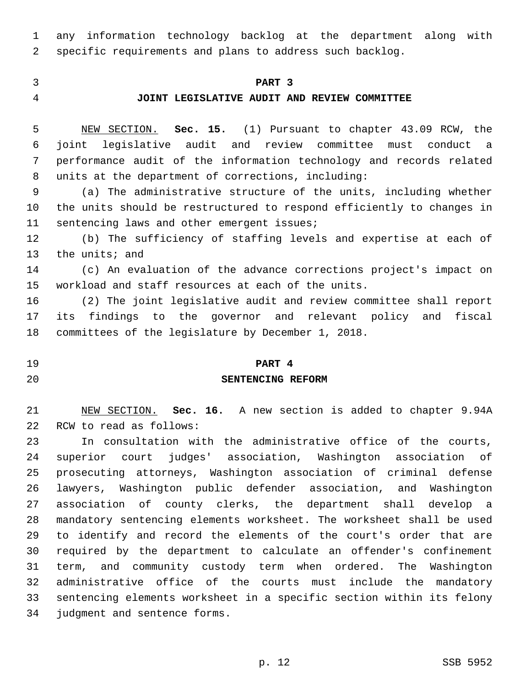any information technology backlog at the department along with specific requirements and plans to address such backlog.

## **PART 3**

### **JOINT LEGISLATIVE AUDIT AND REVIEW COMMITTEE**

 NEW SECTION. **Sec. 15.** (1) Pursuant to chapter 43.09 RCW, the joint legislative audit and review committee must conduct a performance audit of the information technology and records related units at the department of corrections, including:

 (a) The administrative structure of the units, including whether the units should be restructured to respond efficiently to changes in 11 sentencing laws and other emergent issues;

 (b) The sufficiency of staffing levels and expertise at each of 13 the units; and

 (c) An evaluation of the advance corrections project's impact on workload and staff resources at each of the units.

 (2) The joint legislative audit and review committee shall report its findings to the governor and relevant policy and fiscal committees of the legislature by December 1, 2018.

# **PART 4 SENTENCING REFORM**

 NEW SECTION. **Sec. 16.** A new section is added to chapter 9.94A 22 RCW to read as follows:

 In consultation with the administrative office of the courts, superior court judges' association, Washington association of prosecuting attorneys, Washington association of criminal defense lawyers, Washington public defender association, and Washington association of county clerks, the department shall develop a mandatory sentencing elements worksheet. The worksheet shall be used to identify and record the elements of the court's order that are required by the department to calculate an offender's confinement term, and community custody term when ordered. The Washington administrative office of the courts must include the mandatory sentencing elements worksheet in a specific section within its felony 34 judgment and sentence forms.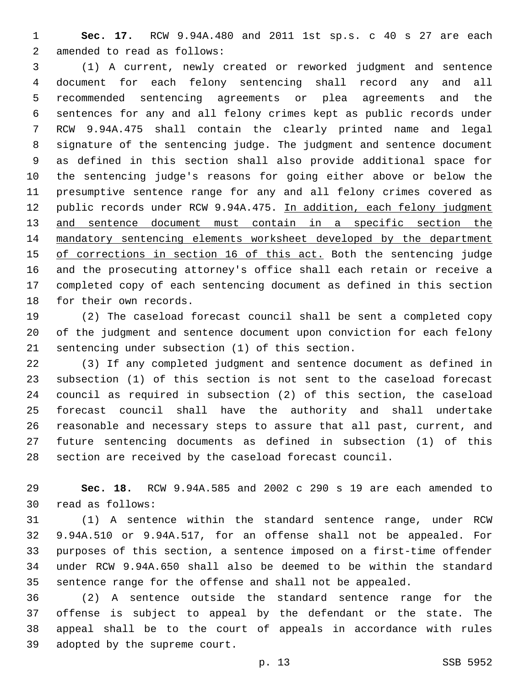**Sec. 17.** RCW 9.94A.480 and 2011 1st sp.s. c 40 s 27 are each 2 amended to read as follows:

 (1) A current, newly created or reworked judgment and sentence document for each felony sentencing shall record any and all recommended sentencing agreements or plea agreements and the sentences for any and all felony crimes kept as public records under RCW 9.94A.475 shall contain the clearly printed name and legal signature of the sentencing judge. The judgment and sentence document as defined in this section shall also provide additional space for the sentencing judge's reasons for going either above or below the presumptive sentence range for any and all felony crimes covered as 12 public records under RCW 9.94A.475. In addition, each felony judgment 13 and sentence document must contain in a specific section the mandatory sentencing elements worksheet developed by the department of corrections in section 16 of this act. Both the sentencing judge and the prosecuting attorney's office shall each retain or receive a completed copy of each sentencing document as defined in this section 18 for their own records.

 (2) The caseload forecast council shall be sent a completed copy of the judgment and sentence document upon conviction for each felony 21 sentencing under subsection (1) of this section.

 (3) If any completed judgment and sentence document as defined in subsection (1) of this section is not sent to the caseload forecast council as required in subsection (2) of this section, the caseload forecast council shall have the authority and shall undertake reasonable and necessary steps to assure that all past, current, and future sentencing documents as defined in subsection (1) of this section are received by the caseload forecast council.

 **Sec. 18.** RCW 9.94A.585 and 2002 c 290 s 19 are each amended to read as follows:30

 (1) A sentence within the standard sentence range, under RCW 9.94A.510 or 9.94A.517, for an offense shall not be appealed. For purposes of this section, a sentence imposed on a first-time offender under RCW 9.94A.650 shall also be deemed to be within the standard sentence range for the offense and shall not be appealed.

 (2) A sentence outside the standard sentence range for the offense is subject to appeal by the defendant or the state. The appeal shall be to the court of appeals in accordance with rules 39 adopted by the supreme court.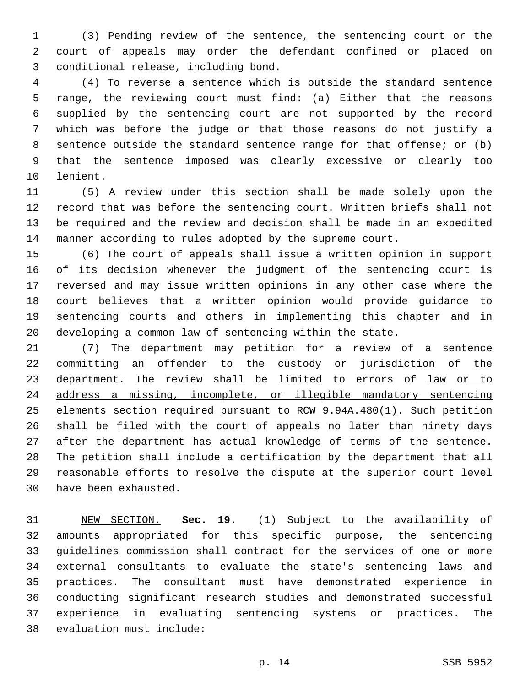(3) Pending review of the sentence, the sentencing court or the court of appeals may order the defendant confined or placed on conditional release, including bond.3

 (4) To reverse a sentence which is outside the standard sentence range, the reviewing court must find: (a) Either that the reasons supplied by the sentencing court are not supported by the record which was before the judge or that those reasons do not justify a sentence outside the standard sentence range for that offense; or (b) that the sentence imposed was clearly excessive or clearly too 10 lenient.

 (5) A review under this section shall be made solely upon the record that was before the sentencing court. Written briefs shall not be required and the review and decision shall be made in an expedited manner according to rules adopted by the supreme court.

 (6) The court of appeals shall issue a written opinion in support of its decision whenever the judgment of the sentencing court is reversed and may issue written opinions in any other case where the court believes that a written opinion would provide guidance to sentencing courts and others in implementing this chapter and in developing a common law of sentencing within the state.

 (7) The department may petition for a review of a sentence committing an offender to the custody or jurisdiction of the 23 department. The review shall be limited to errors of law or to address a missing, incomplete, or illegible mandatory sentencing elements section required pursuant to RCW 9.94A.480(1). Such petition shall be filed with the court of appeals no later than ninety days after the department has actual knowledge of terms of the sentence. The petition shall include a certification by the department that all reasonable efforts to resolve the dispute at the superior court level 30 have been exhausted.

 NEW SECTION. **Sec. 19.** (1) Subject to the availability of amounts appropriated for this specific purpose, the sentencing guidelines commission shall contract for the services of one or more external consultants to evaluate the state's sentencing laws and practices. The consultant must have demonstrated experience in conducting significant research studies and demonstrated successful experience in evaluating sentencing systems or practices. The evaluation must include: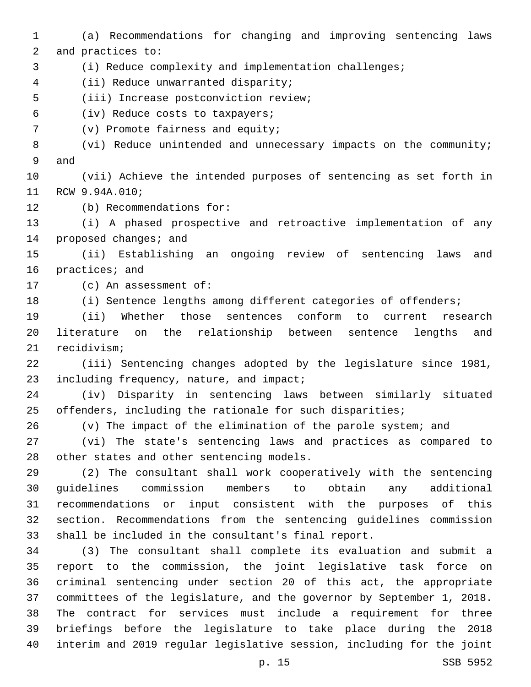(a) Recommendations for changing and improving sentencing laws 2 and practices to: (i) Reduce complexity and implementation challenges; (ii) Reduce unwarranted disparity;4 5 (iii) Increase postconviction review;

(iv) Reduce costs to taxpayers;6

7 (v) Promote fairness and equity;

 (vi) Reduce unintended and unnecessary impacts on the community; 9 and

 (vii) Achieve the intended purposes of sentencing as set forth in 11 RCW 9.94A.010;

12 (b) Recommendations for:

 (i) A phased prospective and retroactive implementation of any 14 proposed changes; and

 (ii) Establishing an ongoing review of sentencing laws and 16 practices; and

17 (c) An assessment of:

18 (i) Sentence lengths among different categories of offenders;

 (ii) Whether those sentences conform to current research literature on the relationship between sentence lengths and 21 recidivism;

 (iii) Sentencing changes adopted by the legislature since 1981, 23 including frequency, nature, and impact;

 (iv) Disparity in sentencing laws between similarly situated offenders, including the rationale for such disparities;

(v) The impact of the elimination of the parole system; and

 (vi) The state's sentencing laws and practices as compared to 28 other states and other sentencing models.

 (2) The consultant shall work cooperatively with the sentencing guidelines commission members to obtain any additional recommendations or input consistent with the purposes of this section. Recommendations from the sentencing guidelines commission shall be included in the consultant's final report.

 (3) The consultant shall complete its evaluation and submit a report to the commission, the joint legislative task force on criminal sentencing under section 20 of this act, the appropriate committees of the legislature, and the governor by September 1, 2018. The contract for services must include a requirement for three briefings before the legislature to take place during the 2018 interim and 2019 regular legislative session, including for the joint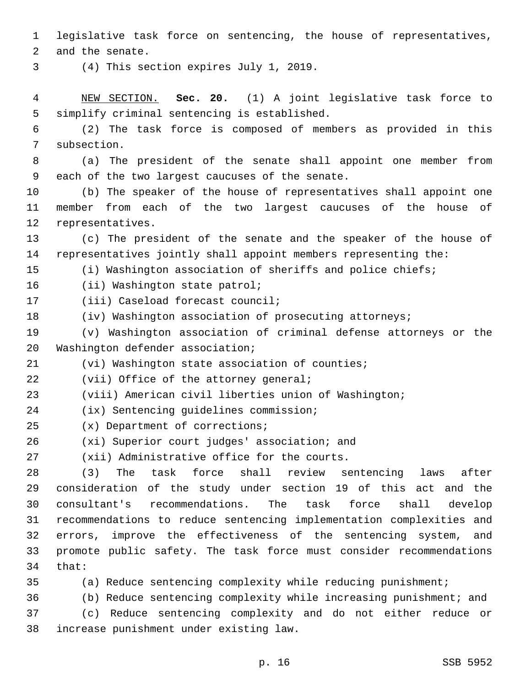1 legislative task force on sentencing, the house of representatives,

2 and the senate.

(4) This section expires July 1, 2019.3

4 NEW SECTION. **Sec. 20.** (1) A joint legislative task force to 5 simplify criminal sentencing is established.

6 (2) The task force is composed of members as provided in this 7 subsection.

8 (a) The president of the senate shall appoint one member from 9 each of the two largest caucuses of the senate.

10 (b) The speaker of the house of representatives shall appoint one 11 member from each of the two largest caucuses of the house of 12 representatives.

13 (c) The president of the senate and the speaker of the house of 14 representatives jointly shall appoint members representing the:

15 (i) Washington association of sheriffs and police chiefs;

16 (ii) Washington state patrol;

17 (iii) Caseload forecast council;

18 (iv) Washington association of prosecuting attorneys;

19 (v) Washington association of criminal defense attorneys or the 20 Washington defender association;

21 (vi) Washington state association of counties;

22 (vii) Office of the attorney general;

23 (viii) American civil liberties union of Washington;

(ix) Sentencing guidelines commission;24

- (x) Department of corrections;25
- 26 (xi) Superior court judges' association; and

27 (xii) Administrative office for the courts.

 (3) The task force shall review sentencing laws after consideration of the study under section 19 of this act and the consultant's recommendations. The task force shall develop recommendations to reduce sentencing implementation complexities and errors, improve the effectiveness of the sentencing system, and promote public safety. The task force must consider recommendations 34 that:

35 (a) Reduce sentencing complexity while reducing punishment;

36 (b) Reduce sentencing complexity while increasing punishment; and

37 (c) Reduce sentencing complexity and do not either reduce or increase punishment under existing law.38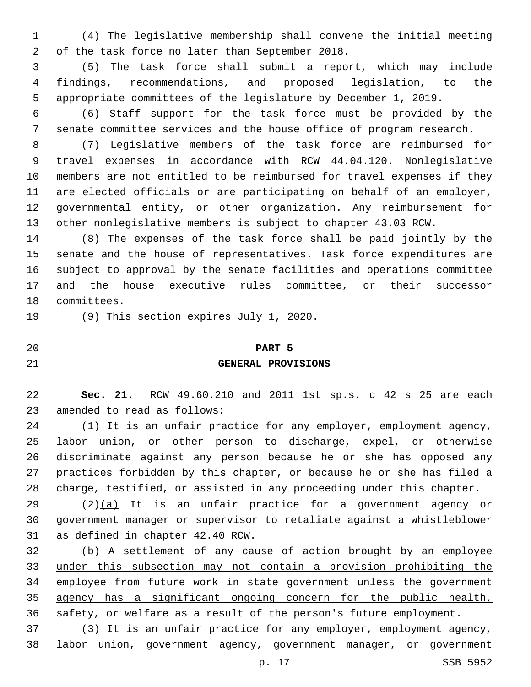(4) The legislative membership shall convene the initial meeting 2 of the task force no later than September 2018.

 (5) The task force shall submit a report, which may include findings, recommendations, and proposed legislation, to the appropriate committees of the legislature by December 1, 2019.

 (6) Staff support for the task force must be provided by the senate committee services and the house office of program research.

 (7) Legislative members of the task force are reimbursed for travel expenses in accordance with RCW 44.04.120. Nonlegislative members are not entitled to be reimbursed for travel expenses if they are elected officials or are participating on behalf of an employer, governmental entity, or other organization. Any reimbursement for other nonlegislative members is subject to chapter 43.03 RCW.

 (8) The expenses of the task force shall be paid jointly by the senate and the house of representatives. Task force expenditures are subject to approval by the senate facilities and operations committee and the house executive rules committee, or their successor 18 committees.

19 (9) This section expires July 1, 2020.

**PART 5**

## **GENERAL PROVISIONS**

 **Sec. 21.** RCW 49.60.210 and 2011 1st sp.s. c 42 s 25 are each 23 amended to read as follows:

 (1) It is an unfair practice for any employer, employment agency, labor union, or other person to discharge, expel, or otherwise discriminate against any person because he or she has opposed any practices forbidden by this chapter, or because he or she has filed a charge, testified, or assisted in any proceeding under this chapter.

 $(2)(a)$  It is an unfair practice for a government agency or government manager or supervisor to retaliate against a whistleblower 31 as defined in chapter 42.40 RCW.

 (b) A settlement of any cause of action brought by an employee under this subsection may not contain a provision prohibiting the employee from future work in state government unless the government agency has a significant ongoing concern for the public health, safety, or welfare as a result of the person's future employment.

 (3) It is an unfair practice for any employer, employment agency, labor union, government agency, government manager, or government

p. 17 SSB 5952